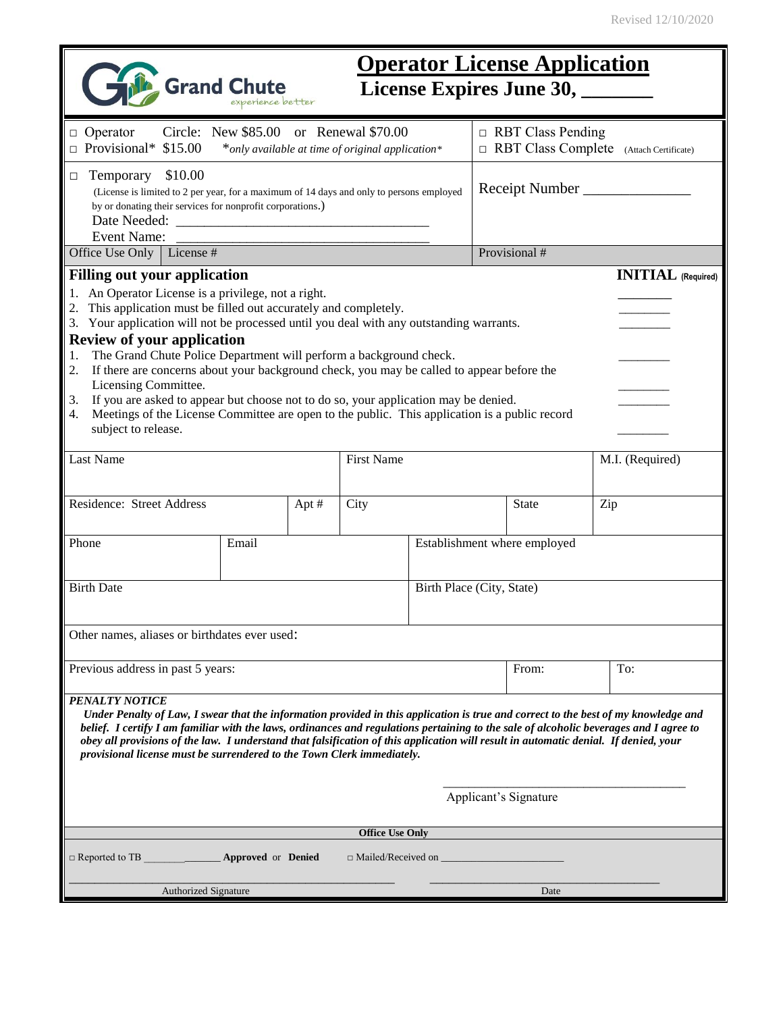| <b>Operator License Application</b><br><b>Grand Chute</b><br>License Expires June 30,                                                                                                                                                                                                                                                                                                                                                                                                                                                                                                                                                                                                                                                                          |                    |       |                           |              |                                                                            |                              |                 |  |
|----------------------------------------------------------------------------------------------------------------------------------------------------------------------------------------------------------------------------------------------------------------------------------------------------------------------------------------------------------------------------------------------------------------------------------------------------------------------------------------------------------------------------------------------------------------------------------------------------------------------------------------------------------------------------------------------------------------------------------------------------------------|--------------------|-------|---------------------------|--------------|----------------------------------------------------------------------------|------------------------------|-----------------|--|
|                                                                                                                                                                                                                                                                                                                                                                                                                                                                                                                                                                                                                                                                                                                                                                |                    |       |                           |              |                                                                            |                              |                 |  |
| Circle: New \$85.00 or Renewal \$70.00<br>$\Box$ Operator<br>$\Box$ Provisional* \$15.00<br>*only available at time of original application*                                                                                                                                                                                                                                                                                                                                                                                                                                                                                                                                                                                                                   |                    |       |                           |              | $\Box$ RBT Class Pending<br>$\Box$ RBT Class Complete (Attach Certificate) |                              |                 |  |
| \$10.00<br>Temporary<br>$\Box$<br>(License is limited to 2 per year, for a maximum of 14 days and only to persons employed<br>by or donating their services for nonprofit corporations.)<br>Event Name:                                                                                                                                                                                                                                                                                                                                                                                                                                                                                                                                                        |                    |       |                           |              | Receipt Number                                                             |                              |                 |  |
| Office Use Only   License #                                                                                                                                                                                                                                                                                                                                                                                                                                                                                                                                                                                                                                                                                                                                    |                    |       |                           |              | Provisional #                                                              |                              |                 |  |
| <b>Filling out your application</b><br><b>INITIAL</b> (Required)<br>1. An Operator License is a privilege, not a right.<br>2. This application must be filled out accurately and completely.<br>3. Your application will not be processed until you deal with any outstanding warrants.<br><b>Review of your application</b><br>The Grand Chute Police Department will perform a background check.<br>1.<br>If there are concerns about your background check, you may be called to appear before the<br>2.<br>Licensing Committee.<br>If you are asked to appear but choose not to do so, your application may be denied.<br>3.<br>Meetings of the License Committee are open to the public. This application is a public record<br>4.<br>subject to release. |                    |       |                           |              |                                                                            |                              |                 |  |
| Last Name                                                                                                                                                                                                                                                                                                                                                                                                                                                                                                                                                                                                                                                                                                                                                      |                    |       | <b>First Name</b>         |              |                                                                            |                              | M.I. (Required) |  |
| Residence: Street Address                                                                                                                                                                                                                                                                                                                                                                                                                                                                                                                                                                                                                                                                                                                                      |                    | Apt # | City                      | <b>State</b> |                                                                            |                              | Zip             |  |
| Phone                                                                                                                                                                                                                                                                                                                                                                                                                                                                                                                                                                                                                                                                                                                                                          | Email              |       |                           |              |                                                                            | Establishment where employed |                 |  |
| <b>Birth Date</b>                                                                                                                                                                                                                                                                                                                                                                                                                                                                                                                                                                                                                                                                                                                                              |                    |       | Birth Place (City, State) |              |                                                                            |                              |                 |  |
| Other names, aliases or birthdates ever used:                                                                                                                                                                                                                                                                                                                                                                                                                                                                                                                                                                                                                                                                                                                  |                    |       |                           |              |                                                                            |                              |                 |  |
| Previous address in past 5 years:                                                                                                                                                                                                                                                                                                                                                                                                                                                                                                                                                                                                                                                                                                                              |                    |       |                           | From:        | To:                                                                        |                              |                 |  |
| <b>PENALTY NOTICE</b><br>Under Penalty of Law, I swear that the information provided in this application is true and correct to the best of my knowledge and<br>belief. I certify I am familiar with the laws, ordinances and regulations pertaining to the sale of alcoholic beverages and I agree to<br>obey all provisions of the law. I understand that falsification of this application will result in automatic denial. If denied, your<br>provisional license must be surrendered to the Town Clerk immediately.                                                                                                                                                                                                                                       |                    |       |                           |              |                                                                            |                              |                 |  |
| Applicant's Signature                                                                                                                                                                                                                                                                                                                                                                                                                                                                                                                                                                                                                                                                                                                                          |                    |       |                           |              |                                                                            |                              |                 |  |
| <b>Office Use Only</b>                                                                                                                                                                                                                                                                                                                                                                                                                                                                                                                                                                                                                                                                                                                                         |                    |       |                           |              |                                                                            |                              |                 |  |
| $\Box$ Reported to TB                                                                                                                                                                                                                                                                                                                                                                                                                                                                                                                                                                                                                                                                                                                                          | Approved or Denied |       |                           |              |                                                                            |                              |                 |  |
| <b>Authorized Signature</b><br>Date                                                                                                                                                                                                                                                                                                                                                                                                                                                                                                                                                                                                                                                                                                                            |                    |       |                           |              |                                                                            |                              |                 |  |